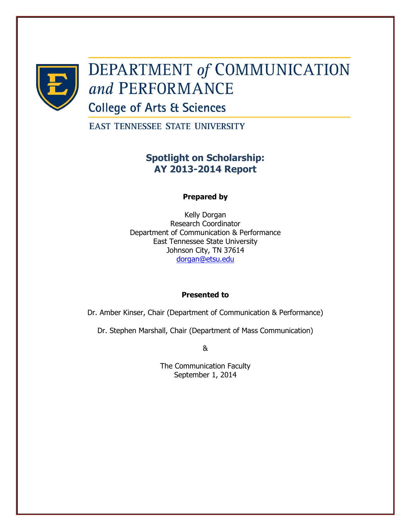

# **DEPARTMENT of COMMUNICATION** and PERFORMANCE

**College of Arts & Sciences** 

**EAST TENNESSEE STATE UNIVERSITY** 

## **Spotlight on Scholarship: AY 2013-2014 Report**

#### **Prepared by**

Kelly Dorgan Research Coordinator Department of Communication & Performance East Tennessee State University Johnson City, TN 37614 [dorgan@etsu.edu](mailto:dorgan@etsu.edu)

#### **Presented to**

Dr. Amber Kinser, Chair (Department of Communication & Performance)

Dr. Stephen Marshall, Chair (Department of Mass Communication)

&

The Communication Faculty September 1, 2014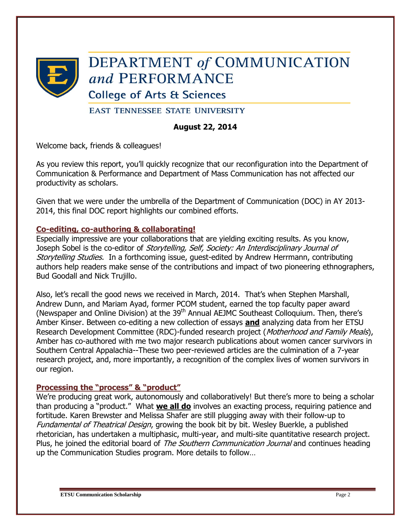

## **DEPARTMENT of COMMUNICATION** and PERFORMANCE

**College of Arts & Sciences** 

**EAST TENNESSEE STATE UNIVERSITY** 

#### **August 22, 2014**

Welcome back, friends & colleagues!

As you review this report, you'll quickly recognize that our reconfiguration into the Department of Communication & Performance and Department of Mass Communication has not affected our productivity as scholars.

Given that we were under the umbrella of the Department of Communication (DOC) in AY 2013- 2014, this final DOC report highlights our combined efforts.

#### **Co-editing, co-authoring & collaborating!**

Especially impressive are your collaborations that are yielding exciting results. As you know, Joseph Sobel is the co-editor of Storytelling, Self, Society: An Interdisciplinary Journal of Storytelling Studies. In a forthcoming issue, guest-edited by Andrew Herrmann, contributing authors help readers make sense of the contributions and impact of two pioneering ethnographers, Bud Goodall and Nick Trujillo.

Also, let's recall the good news we received in March, 2014. That's when Stephen Marshall, Andrew Dunn, and Mariam Ayad, former PCOM student, earned the top faculty paper award (Newspaper and Online Division) at the 39<sup>th</sup> Annual AEJMC Southeast Colloquium. Then, there's Amber Kinser. Between co-editing a new collection of essays **and** analyzing data from her ETSU Research Development Committee (RDC)-funded research project (Motherhood and Family Meals), Amber has co-authored with me two major research publications about women cancer survivors in Southern Central Appalachia--These two peer-reviewed articles are the culmination of a 7-year research project, and, more importantly, a recognition of the complex lives of women survivors in our region.

#### **Processing the "process" & "product"**

We're producing great work, autonomously and collaboratively! But there's more to being a scholar than producing a "product." What **we all do** involves an exacting process, requiring patience and fortitude. Karen Brewster and Melissa Shafer are still plugging away with their follow-up to Fundamental of Theatrical Design, growing the book bit by bit. Wesley Buerkle, a published rhetorician, has undertaken a multiphasic, multi-year, and multi-site quantitative research project. Plus, he joined the editorial board of The Southern Communication Journal and continues heading up the Communication Studies program. More details to follow…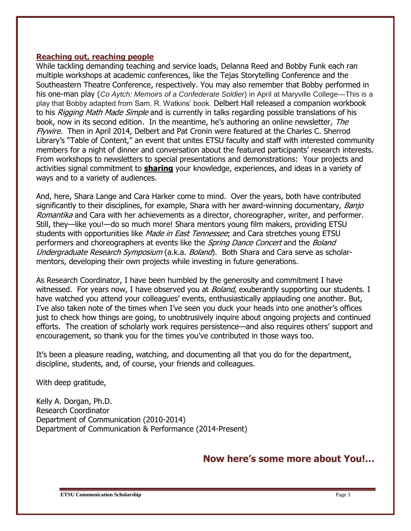#### **Reaching out, reaching people**

While tackling demanding teaching and service loads, Delanna Reed and Bobby Funk each ran multiple workshops at academic conferences, like the Tejas Storytelling Conference and the Southeastern Theatre Conference, respectively. You may also remember that Bobby performed in his one-man play (*Co Aytch: Memoirs of a Confederate Soldier*) in April at Maryville College—This is a play that Bobby adapted from Sam. R. Watkins' book. Delbert Hall released a companion workbook to his *Rigging Math Made Simple* and is currently in talks regarding possible translations of his book, now in its second edition. In the meantime, he's authoring an online newsletter, The Flywire. Then in April 2014, Delbert and Pat Cronin were featured at the Charles C. Sherrod Library's "Table of Content," an event that unites ETSU faculty and staff with interested community members for a night of dinner and conversation about the featured participants' research interests. From workshops to newsletters to special presentations and demonstrations: Your projects and activities signal commitment to **sharing** your knowledge, experiences, and ideas in a variety of ways and to a variety of audiences.

And, here, Shara Lange and Cara Harker come to mind. Over the years, both have contributed significantly to their disciplines, for example, Shara with her award-winning documentary, Banjo Romantika and Cara with her achievements as a director, choreographer, writer, and performer. Still, they—like you!—do so much more! Shara mentors young film makers, providing ETSU students with opportunities like Made in East Tennessee; and Cara stretches young ETSU performers and choreographers at events like the *Spring Dance Concert* and the *Boland* Undergraduate Research Symposium (a.k.a. Boland). Both Shara and Cara serve as scholarmentors, developing their own projects while investing in future generations.

As Research Coordinator, I have been humbled by the generosity and commitment I have witnessed. For years now, I have observed you at *Boland*, exuberantly supporting our students. I have watched you attend your colleagues' events, enthusiastically applauding one another. But, I've also taken note of the times when I've seen you duck your heads into one another's offices just to check how things are going, to unobtrusively inquire about ongoing projects and continued efforts. The creation of scholarly work requires persistence—and also requires others' support and encouragement, so thank you for the times you've contributed in those ways too.

It's been a pleasure reading, watching, and documenting all that you do for the department, discipline, students, and, of course, your friends and colleagues.

With deep gratitude,

Kelly A. Dorgan, Ph.D. Research Coordinator Department of Communication (2010-2014) Department of Communication & Performance (2014-Present)

## **Now here's some more about You!…**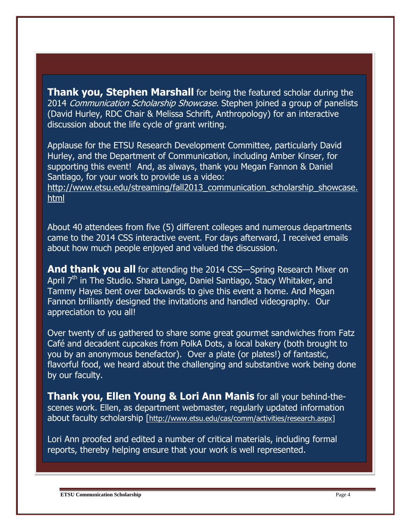**Thank you, Stephen Marshall** for being the featured scholar during the 2014 Communication Scholarship Showcase. Stephen joined a group of panelists (David Hurley, RDC Chair & Melissa Schrift, Anthropology) for an interactive discussion about the life cycle of grant writing.

Applause for the ETSU Research Development Committee, particularly David Hurley, and the Department of Communication, including Amber Kinser, for supporting this event! And, as always, thank you Megan Fannon & Daniel Santiago, for your work to provide us a video:

http://www.etsu.edu/streaming/fall2013 communication scholarship showcase. [html](http://www.etsu.edu/streaming/fall2013_communication_scholarship_showcase.html)

About 40 attendees from five (5) different colleges and numerous departments came to the 2014 CSS interactive event. For days afterward, I received emails about how much people enjoyed and valued the discussion.

**And thank you all** for attending the 2014 CSS—Spring Research Mixer on April 7<sup>th</sup> in The Studio. Shara Lange, Daniel Santiago, Stacy Whitaker, and Tammy Hayes bent over backwards to give this event a home. And Megan Fannon brilliantly designed the invitations and handled videography. Our appreciation to you all!

Over twenty of us gathered to share some great gourmet sandwiches from Fatz Café and decadent cupcakes from PolkA Dots, a local bakery (both brought to you by an anonymous benefactor). Over a plate (or plates!) of fantastic, flavorful food, we heard about the challenging and substantive work being done by our faculty.

**Thank you, Ellen Young & Lori Ann Manis** for all your behind-thescenes work. Ellen, as department webmaster, regularly updated information about faculty scholarship [[http://www.etsu.edu/cas/comm/activities/research.aspx\]](http://www.etsu.edu/cas/comm/activities/research.aspx)

Lori Ann proofed and edited a number of critical materials, including formal reports, thereby helping ensure that your work is well represented.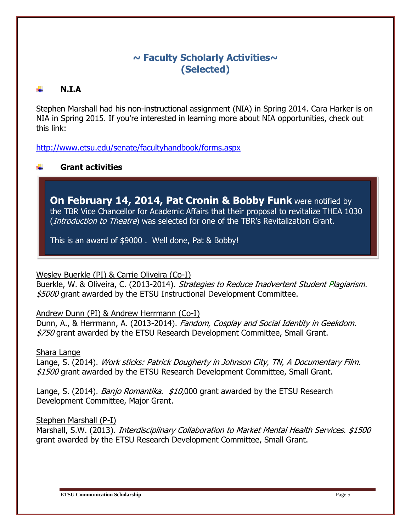## **~ Faculty Scholarly Activities~ (Selected)**

#### **N.I.A**

Stephen Marshall had his non-instructional assignment (NIA) in Spring 2014. Cara Harker is on NIA in Spring 2015. If you're interested in learning more about NIA opportunities, check out this link:

<http://www.etsu.edu/senate/facultyhandbook/forms.aspx>

#### **Grant activities**

**On February 14, 2014, Pat Cronin & Bobby Funk** were notified by the TBR Vice Chancellor for Academic Affairs that their proposal to revitalize THEA 1030 (*Introduction to Theatre*) was selected for one of the TBR's Revitalization Grant.

This is an award of \$9000 . Well done, Pat & Bobby!

Wesley Buerkle (PI) & Carrie Oliveira (Co-I)

Buerkle, W. & Oliveira, C. (2013-2014). Strategies to Reduce Inadvertent Student Plagiarism. \$5000 grant awarded by the ETSU Instructional Development Committee.

Andrew Dunn (PI) & Andrew Herrmann (Co-I)

Dunn, A., & Herrmann, A. (2013-2014). Fandom, Cosplay and Social Identity in Geekdom. \$750 grant awarded by the ETSU Research Development Committee, Small Grant.

Shara Lange

Lange, S. (2014). Work sticks: Patrick Dougherty in Johnson City, TN, A Documentary Film. \$1500 grant awarded by the ETSU Research Development Committee, Small Grant.

Lange, S. (2014). *Banjo Romantika. \$10,*000 grant awarded by the ETSU Research Development Committee, Major Grant.

Stephen Marshall (P-I)

Marshall, S.W. (2013). *Interdisciplinary Collaboration to Market Mental Health Services.* \$1500 grant awarded by the ETSU Research Development Committee, Small Grant.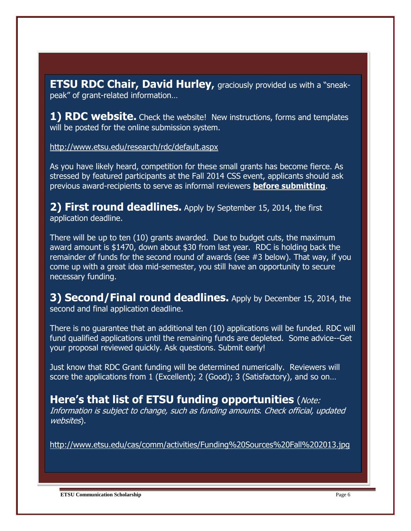**ETSU RDC Chair, David Hurley,** graciously provided us with a "sneakpeak" of grant-related information…

**1) RDC website.** Check the website! New instructions, forms and templates will be posted for the online submission system.

<http://www.etsu.edu/research/rdc/default.aspx>

As you have likely heard, competition for these small grants has become fierce. As stressed by featured participants at the Fall 2014 CSS event, applicants should ask previous award-recipients to serve as informal reviewers **before submitting**.

**2) First round deadlines.** Apply by September 15, 2014, the first application deadline.

There will be up to ten (10) grants awarded. Due to budget cuts, the maximum award amount is \$1470, down about \$30 from last year. RDC is holding back the remainder of funds for the second round of awards (see #3 below). That way, if you come up with a great idea mid-semester, you still have an opportunity to secure necessary funding.

**3) Second/Final round deadlines.** Apply by December 15, 2014, the second and final application deadline.

There is no guarantee that an additional ten (10) applications will be funded. RDC will fund qualified applications until the remaining funds are depleted. Some advice--Get your proposal reviewed quickly. Ask questions. Submit early!

Just know that RDC Grant funding will be determined numerically. Reviewers will score the applications from 1 (Excellent); 2 (Good); 3 (Satisfactory), and so on...

**Here's that list of ETSU funding opportunities** (Note: Information is subject to change, such as funding amounts. Check official, updated websites).

<http://www.etsu.edu/cas/comm/activities/Funding%20Sources%20Fall%202013.jpg>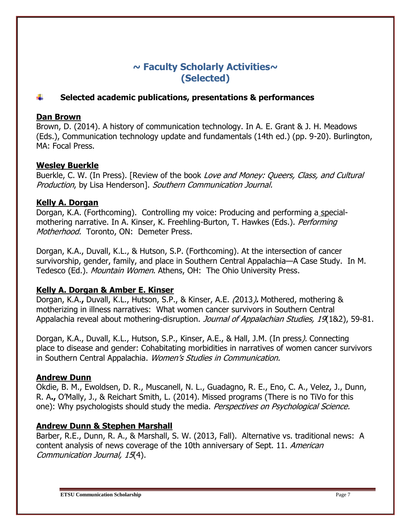## **~ Faculty Scholarly Activities~ (Selected)**

#### **Selected academic publications, presentations & performances**

#### **Dan Brown**

Brown, D. (2014). A history of communication technology. In A. E. Grant & J. H. Meadows (Eds.), Communication technology update and fundamentals (14th ed.) (pp. 9-20). Burlington, MA: Focal Press.

#### **Wesley Buerkle**

Buerkle, C. W. (In Press). [Review of the book Love and Money: Queers, Class, and Cultural Production, by Lisa Henderson]. Southern Communication Journal.

#### **Kelly A. Dorgan**

Dorgan, K.A. (Forthcoming). Controlling my voice: Producing and performing a specialmothering narrative. In A. Kinser, K. Freehling-Burton, T. Hawkes (Eds.). *Performing* Motherhood. Toronto, ON: Demeter Press.

Dorgan, K.A., Duvall, K.L., & Hutson, S.P. (Forthcoming). At the intersection of cancer survivorship, gender, family, and place in Southern Central Appalachia—A Case Study. In M. Tedesco (Ed.). Mountain Women. Athens, OH: The Ohio University Press.

#### **Kelly A. Dorgan & Amber E. Kinser**

Dorgan, K.A.**,** Duvall, K.L., Hutson, S.P., & Kinser, A.E. (2013)**.** Mothered, mothering & motherizing in illness narratives: What women cancer survivors in Southern Central Appalachia reveal about mothering-disruption. Journal of Appalachian Studies, 19(1&2), 59-81.

Dorgan, K.A., Duvall, K.L., Hutson, S.P., Kinser, A.E., & Hall, J.M. (In press). Connecting place to disease and gender: Cohabitating morbidities in narratives of women cancer survivors in Southern Central Appalachia. Women's Studies in Communication.

#### **Andrew Dunn**

Okdie, B. M., Ewoldsen, D. R., Muscanell, N. L., Guadagno, R. E., Eno, C. A., Velez, J., Dunn, R. A**.,** O'Mally, J., & Reichart Smith, L. (2014). Missed programs (There is no TiVo for this one): Why psychologists should study the media. Perspectives on Psychological Science.

#### **Andrew Dunn & Stephen Marshall**

Barber, R.E., Dunn, R. A., & Marshall, S. W. (2013, Fall). Alternative vs. traditional news: A content analysis of news coverage of the 10th anniversary of Sept. 11. American Communication Journal, 15(4).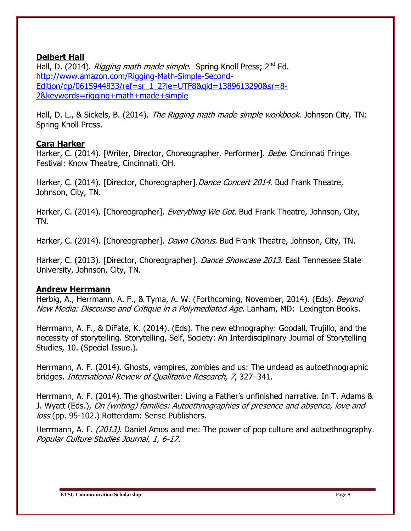#### **Delbert Hall**

Hall, D. (2014). Rigging math made simple. Spring Knoll Press: 2<sup>nd</sup> Ed. [http://www.amazon.com/Rigging-Math-Simple-Second-](http://www.amazon.com/Rigging-Math-Simple-Second-Edition/dp/0615944833/ref=sr_1_2?ie=UTF8&qid=1389613290&sr=8-2&keywords=rigging+math+made+simple)[Edition/dp/0615944833/ref=sr\\_1\\_2?ie=UTF8&qid=1389613290&sr=8-](http://www.amazon.com/Rigging-Math-Simple-Second-Edition/dp/0615944833/ref=sr_1_2?ie=UTF8&qid=1389613290&sr=8-2&keywords=rigging+math+made+simple) [2&keywords=rigging+math+made+simple](http://www.amazon.com/Rigging-Math-Simple-Second-Edition/dp/0615944833/ref=sr_1_2?ie=UTF8&qid=1389613290&sr=8-2&keywords=rigging+math+made+simple)

Hall, D. L., & Sickels, B. (2014). The Rigging math made simple workbook. Johnson City, TN: Spring Knoll Press.

#### **Cara Harker**

Harker, C. (2014). [Writer, Director, Choreographer, Performer]. Bebe. Cincinnati Fringe Festival: Know Theatre, Cincinnati, OH.

Harker, C. (2014). [Director, Choreographer]. Dance Concert 2014. Bud Frank Theatre, Johnson, City, TN.

Harker, C. (2014). [Choreographer]. *Everything We Got*. Bud Frank Theatre, Johnson, City, TN.

Harker, C. (2014). [Choreographer]. *Dawn Chorus.* Bud Frank Theatre, Johnson, City, TN.

Harker, C. (2013). [Director, Choreographer]. *Dance Showcase 2013*. East Tennessee State University, Johnson, City, TN.

#### **Andrew Herrmann**

Herbig, A., Herrmann, A. F., & Tyma, A. W. (Forthcoming, November, 2014). (Eds). Beyond New Media: Discourse and Critique in a Polymediated Age. Lanham, MD: Lexington Books.

Herrmann, A. F., & DiFate, K. (2014). (Eds). The new ethnography: Goodall, Trujillo, and the necessity of storytelling. Storytelling, Self, Society: An Interdisciplinary Journal of Storytelling Studies, 10. (Special Issue.).

Herrmann, A. F. (2014). Ghosts, vampires, zombies and us: The undead as [autoethnographic](https://webmail.etsu.edu/owa/redir.aspx?C=D4SVmYLBO0u1cFaNlujC95MKpvnIkdEIS-vfmlzhYi0wIJNWqV5PsHBXTvVWvDGSalAy1gJZFls.&URL=https%3a%2f%2fwww.linkedin.com%2fredir%2fredirect%3furl%3dhttp%253A%252F%252Fwww%252Ejstor%252Eorg%252Faction%252FshowPublication%253FjournalCode%253Dintrevquares%26urlhash%3d0OT9%26trk%3dprof-publication-title-link) [bridges.](https://webmail.etsu.edu/owa/redir.aspx?C=D4SVmYLBO0u1cFaNlujC95MKpvnIkdEIS-vfmlzhYi0wIJNWqV5PsHBXTvVWvDGSalAy1gJZFls.&URL=https%3a%2f%2fwww.linkedin.com%2fredir%2fredirect%3furl%3dhttp%253A%252F%252Fwww%252Ejstor%252Eorg%252Faction%252FshowPublication%253FjournalCode%253Dintrevquares%26urlhash%3d0OT9%26trk%3dprof-publication-title-link) International Review of Qualitative Research, 7, 327–341.

Herrmann, A. F. (2014). The ghostwriter: Living a Father's unfinished narrative. In T. Adams & J. Wyatt (Eds.), On (writing) families: Autoethnographies of presence and absence, love and loss (pp. 95-102.) Rotterdam: Sense Publishers.

Herrmann, A. F. (2013). Daniel Amos and me: The power of pop culture and autoethnography. Popular Culture Studies Journal, 1, 6-17.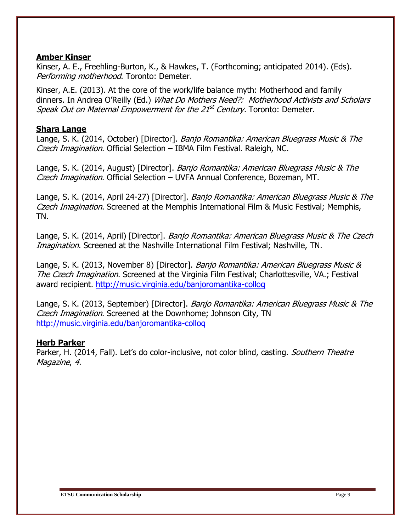#### **Amber Kinser**

Kinser, A. E., Freehling-Burton, K., & Hawkes, T. (Forthcoming; anticipated 2014). (Eds). Performing motherhood. Toronto: Demeter.

Kinser, A.E. (2013). At the core of the work/life balance myth: Motherhood and family dinners. In Andrea O'Reilly (Ed.) What Do Mothers Need?: Motherhood Activists and Scholars Speak Out on Maternal Empowerment for the 21<sup>st</sup> Century. Toronto: Demeter.

#### **Shara Lange**

Lange, S. K. (2014, October) [Director]. *Banjo Romantika: American Bluegrass Music & The* Czech Imagination. Official Selection – IBMA Film Festival. Raleigh, NC.

Lange, S. K. (2014, August) [Director]. *Banjo Romantika: American Bluegrass Music & The* Czech Imagination. Official Selection – UVFA Annual Conference, Bozeman, MT.

Lange, S. K. (2014, April 24-27) [Director]. Banjo Romantika: American Bluegrass Music & The Czech Imagination. Screened at the Memphis International Film & Music Festival; Memphis, TN.

Lange, S. K. (2014, April) [Director]. *Banjo Romantika: American Bluegrass Music & The Czech* Imagination. Screened at the Nashville International Film Festival; Nashville, TN.

Lange, S. K. (2013, November 8) [Director]. Banjo Romantika: American Bluegrass Music & The Czech Imagination. Screened at the Virginia Film Festival; Charlottesville, VA.; Festival award recipient.<http://music.virginia.edu/banjoromantika-colloq>

Lange, S. K. (2013, September) [Director]. Banjo Romantika: American Bluegrass Music & The Czech Imagination. Screened at the Downhome; Johnson City, TN <http://music.virginia.edu/banjoromantika-colloq>

#### **Herb Parker**

Parker, H. (2014, Fall). Let's do color-inclusive, not color blind, casting. *Southern Theatre* Magazine, 4.